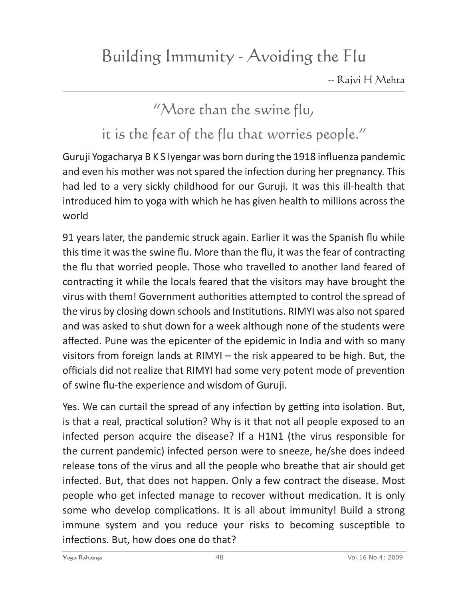## "More than the swine flu,

it is the fear of the flu that worries people."

Guruji Yogacharya B K S Iyengar was born during the 1918 influenza pandemic and even his mother was not spared the infection during her pregnancy. This had led to a very sickly childhood for our Guruji. It was this ill-health that introduced him to yoga with which he has given health to millions across the world

91 years later, the pandemic struck again. Earlier it was the Spanish flu while this time it was the swine flu. More than the flu, it was the fear of contracting the flu that worried people. Those who travelled to another land feared of contracting it while the locals feared that the visitors may have brought the virus with them! Government authorities attempted to control the spread of the virus by closing down schools and Institutions. RIMYI was also not spared and was asked to shut down for a week although none of the students were affected. Pune was the epicenter of the epidemic in India and with so many visitors from foreign lands at RIMYI – the risk appeared to be high. But, the officials did not realize that RIMYI had some very potent mode of prevention of swine flu-the experience and wisdom of Guruji.

Yes. We can curtail the spread of any infection by getting into isolation. But, is that a real, practical solution? Why is it that not all people exposed to an infected person acquire the disease? If a H1N1 (the virus responsible for the current pandemic) infected person were to sneeze, he/she does indeed release tons of the virus and all the people who breathe that air should get infected. But, that does not happen. Only a few contract the disease. Most people who get infected manage to recover without medication. It is only some who develop complications. It is all about immunity! Build a strong immune system and you reduce your risks to becoming susceptible to infections. But, how does one do that?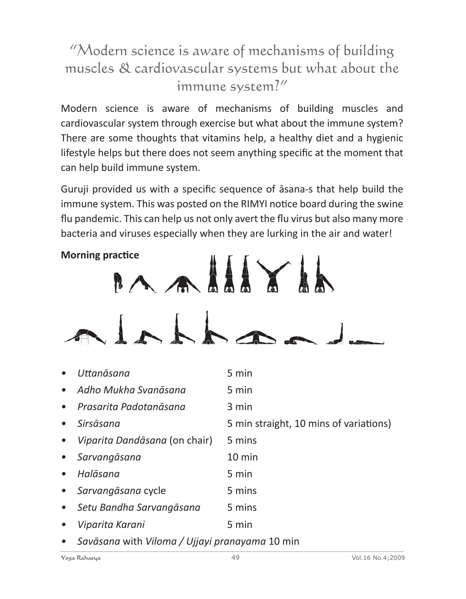## "Modern science is aware of mechanisms of building muscles & cardiovascular systems but what about the immune system?"

Modern science is aware of mechanisms of building muscles and cardiovascular system through exercise but what about the immune system? There are some thoughts that vitamins help, a healthy diet and a hygienic lifestyle helps but there does not seem anything specific at the moment that can help build immune system.

Guruji provided us with a specific sequence of āsana-s that help build the immune system. This was posted on the RIMYI notice board during the swine flu pandemic. This can help us not only avert the flu virus but also many more bacteria and viruses especially when they are lurking in the air and water!



| $\bullet$ | Uttanāsana                    | 5 min                                  |
|-----------|-------------------------------|----------------------------------------|
|           | • Adho Mukha Svanāsana        | 5 min                                  |
| $\bullet$ | Prasarita Padotanāsana        | 3 min                                  |
| $\bullet$ | Sirsāsana                     | 5 min straight, 10 mins of variations) |
| $\bullet$ | Viparita Dandāsana (on chair) | 5 mins                                 |
| $\bullet$ | Sarvangāsana                  | $10 \text{ min}$                       |
| $\bullet$ | Halāsana                      | 5 min                                  |
| $\bullet$ | Sarvangāsana cycle            | 5 mins                                 |
| $\bullet$ | Setu Bandha Sarvangāsana      | 5 mins                                 |
| $\bullet$ | Viparita Karani               | 5 min                                  |

*• Savāsana* with *Viloma / Ujjayi pranayama* 10 min